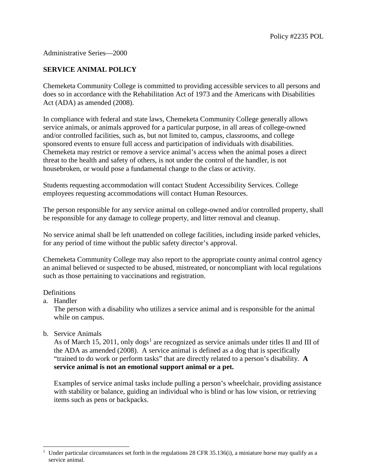## Administrative Series—2000

## **SERVICE ANIMAL POLICY**

Chemeketa Community College is committed to providing accessible services to all persons and does so in accordance with the Rehabilitation Act of 1973 and the Americans with Disabilities Act (ADA) as amended (2008).

In compliance with federal and state laws, Chemeketa Community College generally allows service animals, or animals approved for a particular purpose, in all areas of college-owned and/or controlled facilities, such as, but not limited to, campus, classrooms, and college sponsored events to ensure full access and participation of individuals with disabilities. Chemeketa may restrict or remove a service animal's access when the animal poses a direct threat to the health and safety of others, is not under the control of the handler, is not housebroken, or would pose a fundamental change to the class or activity.

Students requesting accommodation will contact Student Accessibility Services. College employees requesting accommodations will contact Human Resources.

The person responsible for any service animal on college-owned and/or controlled property, shall be responsible for any damage to college property, and litter removal and cleanup.

No service animal shall be left unattended on college facilities, including inside parked vehicles, for any period of time without the public safety director's approval.

Chemeketa Community College may also report to the appropriate county animal control agency an animal believed or suspected to be abused, mistreated, or noncompliant with local regulations such as those pertaining to vaccinations and registration.

## **Definitions**

a. Handler

The person with a disability who utilizes a service animal and is responsible for the animal while on campus.

b. Service Animals

As of March [1](#page-0-0)5, 2011, only dogs<sup>1</sup> are recognized as service animals under titles II and III of the ADA as amended (2008). A service animal is defined as a dog that is specifically "trained to do work or perform tasks" that are directly related to a person's disability. **A service animal is not an emotional support animal or a pet.** 

Examples of service animal tasks include pulling a person's wheelchair, providing assistance with stability or balance, guiding an individual who is blind or has low vision, or retrieving items such as pens or backpacks.

<span id="page-0-0"></span><sup>-</sup><sup>1</sup> Under particular circumstances set forth in the regulations 28 CFR 35.136(i), a miniature horse may qualify as a service animal.